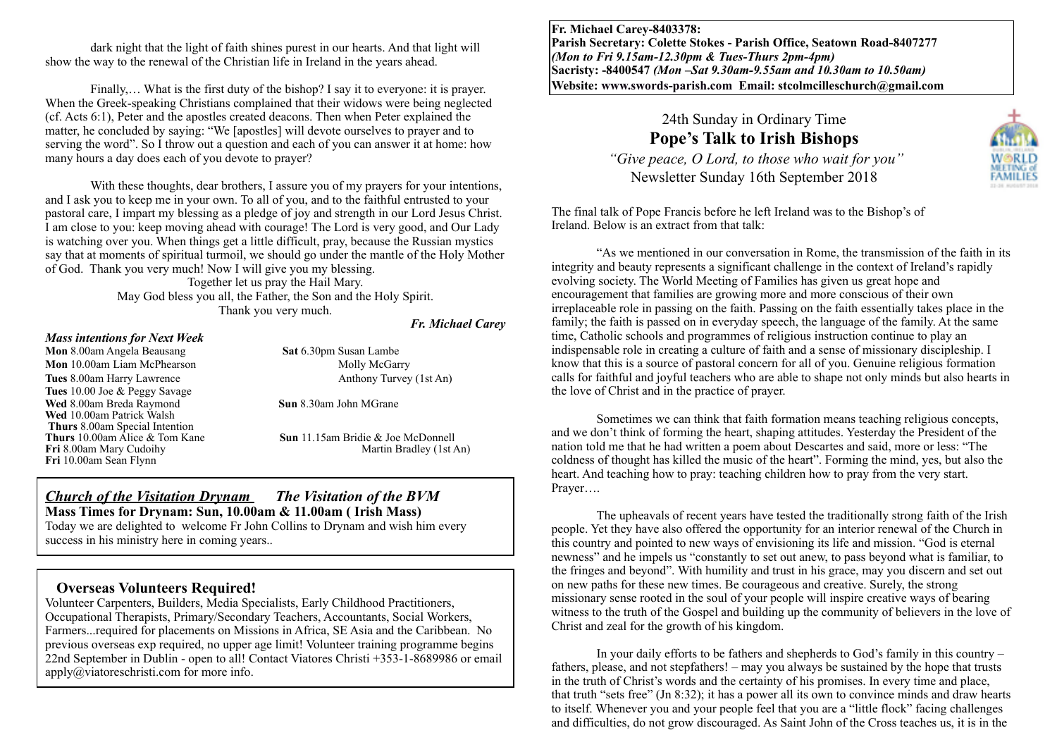dark night that the light of faith shines purest in our hearts. And that light will show the way to the renewal of the Christian life in Ireland in the years ahead.

Finally,... What is the first duty of the bishop? I say it to everyone: it is prayer. When the Greek-speaking Christians complained that their widows were being neglected (cf. Acts 6:1), Peter and the apostles created deacons. Then when Peter explained the matter, he concluded by saying: "We [apostles] will devote ourselves to prayer and to serving the word". So I throw out a question and each of you can answer it at home: how many hours a day does each of you devote to prayer?

With these thoughts, dear brothers, I assure you of my prayers for your intentions, and I ask you to keep me in your own. To all of you, and to the faithful entrusted to your pastoral care, I impart my blessing as a pledge of joy and strength in our Lord Jesus Christ. I am close to you: keep moving ahead with courage! The Lord is very good, and Our Lady is watching over you. When things get a little difficult, pray, because the Russian mystics say that at moments of spiritual turmoil, we should go under the mantle of the Holy Mother of God. Thank you very much! Now I will give you my blessing.

Together let us pray the Hail Mary. May God bless you all, the Father, the Son and the Holy Spirit. Thank you very much.

#### *Fr. Michael Carey*

#### *Mass intentions for Next Week*

**Mon** 8.00am Angela Beausang<br>
Sat 6.30pm Susan Lambe **Mon** 10.00am Liam McPhearson Molly McGarry **Tues** 8.00am Harry Lawrence Anthony Turvey (1st An) **Tues** 10.00 Joe & Peggy Savage **Wed** 8.00am Breda Raymond **Sun** 8.30am John MGrane **Wed** 10.00am Patrick Walsh **Thurs 8.00am Special Intention<br><b>Thurs** 10.00am Alice & Tom Kane **Fri** 10.00am Sean Flynn

**Sun** 11.15am Bridie & Joe McDonnell **Fri** 8.00am Mary Cudoihy Martin Bradley (1st An)

### *Church of the Visitation Drynam**The Visitation of the BVM*

**Mass Times for Drynam: Sun, 10.00am & 11.00am ( Irish Mass)** 

Today we are delighted to welcome Fr John Collins to Drynam and wish him every success in his ministry here in coming years..

### **Overseas Volunteers Required!**

Volunteer Carpenters, Builders, Media Specialists, Early Childhood Practitioners, Occupational Therapists, Primary/Secondary Teachers, Accountants, Social Workers, Farmers...required for placements on Missions in Africa, SE Asia and the Caribbean. No previous overseas exp required, no upper age limit! Volunteer training programme begins 22nd September in Dublin - open to all! Contact Viatores Christi +353-1-8689986 or email apply@viatoreschristi.com for more info.

**Fr. Michael Carey-8403378: Parish Secretary: Colette Stokes - Parish Office, Seatown Road-8407277**  *(Mon to Fri 9.15am-12.30pm & Tues-Thurs 2pm-4pm)*  **Sacristy: -8400547** *(Mon –Sat 9.30am-9.55am and 10.30am to 10.50am)* **Website: [www.swords-parish.com Email:](http://www.swords-parish.com%20%20email) stcolmcilleschurch@gmail.com**

# 24th Sunday in Ordinary Time **Pope's Talk to Irish Bishops**

 *"Give peace, O Lord, to those who wait for you"*  Newsletter Sunday 16th September 2018



The final talk of Pope Francis before he left Ireland was to the Bishop's of Ireland. Below is an extract from that talk:

"As we mentioned in our conversation in Rome, the transmission of the faith in its integrity and beauty represents a significant challenge in the context of Ireland's rapidly evolving society. The World Meeting of Families has given us great hope and encouragement that families are growing more and more conscious of their own irreplaceable role in passing on the faith. Passing on the faith essentially takes place in the family; the faith is passed on in everyday speech, the language of the family. At the same time, Catholic schools and programmes of religious instruction continue to play an indispensable role in creating a culture of faith and a sense of missionary discipleship. I know that this is a source of pastoral concern for all of you. Genuine religious formation calls for faithful and joyful teachers who are able to shape not only minds but also hearts in the love of Christ and in the practice of prayer.

Sometimes we can think that faith formation means teaching religious concepts, and we don't think of forming the heart, shaping attitudes. Yesterday the President of the nation told me that he had written a poem about Descartes and said, more or less: "The coldness of thought has killed the music of the heart". Forming the mind, yes, but also the heart. And teaching how to pray: teaching children how to pray from the very start. Prayer….

The upheavals of recent years have tested the traditionally strong faith of the Irish people. Yet they have also offered the opportunity for an interior renewal of the Church in this country and pointed to new ways of envisioning its life and mission. "God is eternal newness" and he impels us "constantly to set out anew, to pass beyond what is familiar, to the fringes and beyond". With humility and trust in his grace, may you discern and set out on new paths for these new times. Be courageous and creative. Surely, the strong missionary sense rooted in the soul of your people will inspire creative ways of bearing witness to the truth of the Gospel and building up the community of believers in the love of Christ and zeal for the growth of his kingdom.

In your daily efforts to be fathers and shepherds to God's family in this country – fathers, please, and not stepfathers! – may you always be sustained by the hope that trusts in the truth of Christ's words and the certainty of his promises. In every time and place, that truth "sets free" (Jn 8:32); it has a power all its own to convince minds and draw hearts to itself. Whenever you and your people feel that you are a "little flock" facing challenges and difficulties, do not grow discouraged. As Saint John of the Cross teaches us, it is in the